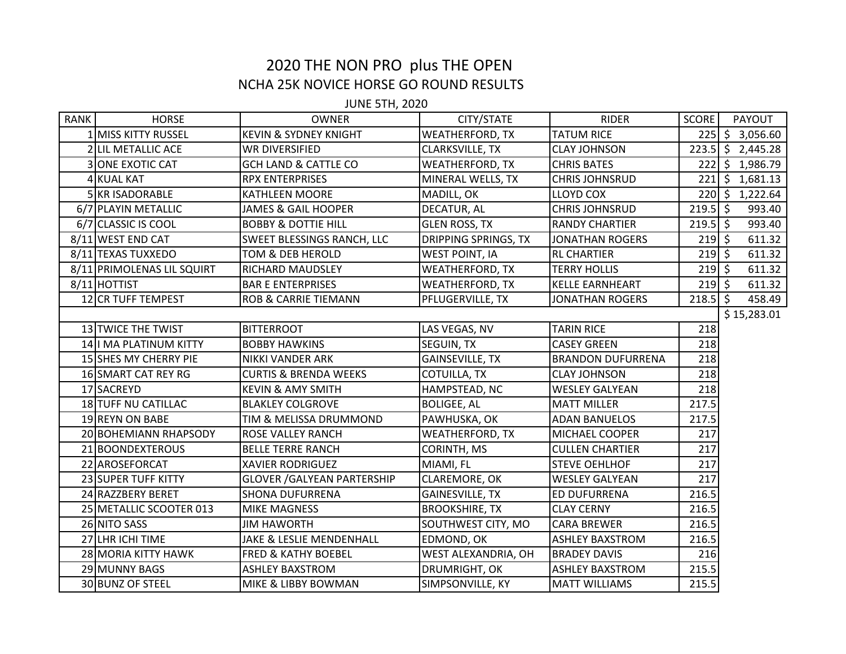## 2020 THE NON PRO plus THE OPEN NCHA 25K NOVICE HORSE GO ROUND RESULTS

JUNE 5TH, 2020

| <b>RANK</b> | <b>HORSE</b>               | <b>OWNER</b>                       | CITY/STATE                  | <b>RIDER</b>             | <b>SCORE</b> | PAYOUT              |
|-------------|----------------------------|------------------------------------|-----------------------------|--------------------------|--------------|---------------------|
|             | 1 MISS KITTY RUSSEL        | <b>KEVIN &amp; SYDNEY KNIGHT</b>   | <b>WEATHERFORD, TX</b>      | <b>TATUM RICE</b>        |              | 225 \$ 3,056.60     |
|             | 2 LIL METALLIC ACE         | <b>WR DIVERSIFIED</b>              | <b>CLARKSVILLE, TX</b>      | <b>CLAY JOHNSON</b>      |              | $223.5$ \$ 2,445.28 |
|             | <b>3 ONE EXOTIC CAT</b>    | <b>GCH LAND &amp; CATTLE CO</b>    | <b>WEATHERFORD, TX</b>      | <b>CHRIS BATES</b>       |              | 222 \$ 1,986.79     |
|             | 4 KUAL KAT                 | <b>RPX ENTERPRISES</b>             | MINERAL WELLS, TX           | <b>CHRIS JOHNSRUD</b>    |              | 221 \$ 1,681.13     |
|             | 5 KR ISADORABLE            | <b>KATHLEEN MOORE</b>              | MADILL, OK                  | <b>LLOYD COX</b>         |              | 220 \$ 1,222.64     |
|             | 6/7 PLAYIN METALLIC        | JAMES & GAIL HOOPER                | DECATUR, AL                 | <b>CHRIS JOHNSRUD</b>    | $219.5$ \$   | 993.40              |
|             | 6/7 CLASSIC IS COOL        | <b>BOBBY &amp; DOTTIE HILL</b>     | <b>GLEN ROSS, TX</b>        | <b>RANDY CHARTIER</b>    | $219.5$ \$   | 993.40              |
|             | 8/11 WEST END CAT          | <b>SWEET BLESSINGS RANCH, LLC</b>  | <b>DRIPPING SPRINGS, TX</b> | <b>JONATHAN ROGERS</b>   | $219$ \$     | 611.32              |
|             | 8/11 TEXAS TUXXEDO         | <b>TOM &amp; DEB HEROLD</b>        | <b>WEST POINT, IA</b>       | <b>RL CHARTIER</b>       | $219$ \$     | 611.32              |
|             | 8/11 PRIMOLENAS LIL SQUIRT | RICHARD MAUDSLEY                   | <b>WEATHERFORD, TX</b>      | <b>TERRY HOLLIS</b>      | $219$ \$     | 611.32              |
|             | 8/11 HOTTIST               | <b>BAR E ENTERPRISES</b>           | <b>WEATHERFORD, TX</b>      | KELLE EARNHEART          | $219$ \$     | 611.32              |
|             | 12 CR TUFF TEMPEST         | <b>ROB &amp; CARRIE TIEMANN</b>    | PFLUGERVILLE, TX            | <b>JONATHAN ROGERS</b>   | $218.5$ \$   | 458.49              |
|             |                            |                                    |                             |                          |              | \$15,283.01         |
|             | 13 TWICE THE TWIST         | <b>BITTERROOT</b>                  | LAS VEGAS, NV               | <b>TARIN RICE</b>        | 218          |                     |
|             | 14 I MA PLATINUM KITTY     | <b>BOBBY HAWKINS</b>               | SEGUIN, TX                  | <b>CASEY GREEN</b>       | 218          |                     |
|             | 15 SHES MY CHERRY PIE      | NIKKI VANDER ARK                   | <b>GAINSEVILLE, TX</b>      | <b>BRANDON DUFURRENA</b> | 218          |                     |
|             | 16 SMART CAT REY RG        | <b>CURTIS &amp; BRENDA WEEKS</b>   | COTUILLA, TX                | <b>CLAY JOHNSON</b>      | 218          |                     |
|             | 17 SACREYD                 | <b>KEVIN &amp; AMY SMITH</b>       | HAMPSTEAD, NC               | <b>WESLEY GALYEAN</b>    | 218          |                     |
|             | 18 TUFF NU CATILLAC        | <b>BLAKLEY COLGROVE</b>            | <b>BOLIGEE, AL</b>          | <b>MATT MILLER</b>       | 217.5        |                     |
|             | 19 REYN ON BABE            | TIM & MELISSA DRUMMOND             | PAWHUSKA, OK                | <b>ADAN BANUELOS</b>     | 217.5        |                     |
|             | 20 BOHEMIANN RHAPSODY      | <b>ROSE VALLEY RANCH</b>           | <b>WEATHERFORD, TX</b>      | MICHAEL COOPER           | 217          |                     |
|             | 21 BOONDEXTEROUS           | <b>BELLE TERRE RANCH</b>           | CORINTH, MS                 | <b>CULLEN CHARTIER</b>   | 217          |                     |
|             | 22 AROSEFORCAT             | <b>XAVIER RODRIGUEZ</b>            | MIAMI, FL                   | <b>STEVE OEHLHOF</b>     | 217          |                     |
|             | 23 SUPER TUFF KITTY        | <b>GLOVER / GALYEAN PARTERSHIP</b> | CLAREMORE, OK               | <b>WESLEY GALYEAN</b>    | 217          |                     |
|             | 24 RAZZBERY BERET          | <b>SHONA DUFURRENA</b>             | <b>GAINESVILLE, TX</b>      | ED DUFURRENA             | 216.5        |                     |
|             | 25 METALLIC SCOOTER 013    | <b>MIKE MAGNESS</b>                | <b>BROOKSHIRE, TX</b>       | <b>CLAY CERNY</b>        | 216.5        |                     |
|             | 26 NITO SASS               | <b>JIM HAWORTH</b>                 | SOUTHWEST CITY, MO          | <b>CARA BREWER</b>       | 216.5        |                     |
|             | 27 LHR ICHI TIME           | JAKE & LESLIE MENDENHALL           | EDMOND, OK                  | <b>ASHLEY BAXSTROM</b>   | 216.5        |                     |
|             | 28 MORIA KITTY HAWK        | <b>FRED &amp; KATHY BOEBEL</b>     | WEST ALEXANDRIA, OH         | <b>BRADEY DAVIS</b>      | 216          |                     |
|             | 29 MUNNY BAGS              | <b>ASHLEY BAXSTROM</b>             | DRUMRIGHT, OK               | <b>ASHLEY BAXSTROM</b>   | 215.5        |                     |
|             | 30 BUNZ OF STEEL           | MIKE & LIBBY BOWMAN                | SIMPSONVILLE, KY            | <b>MATT WILLIAMS</b>     | 215.5        |                     |
|             |                            |                                    |                             |                          |              |                     |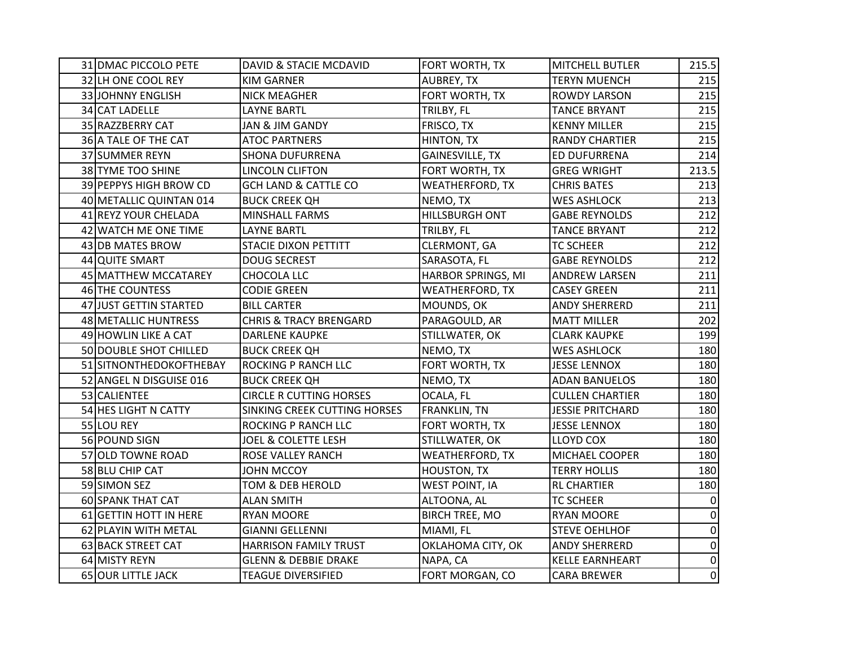| 31 DMAC PICCOLO PETE    | DAVID & STACIE MCDAVID            | FORT WORTH, TX         | <b>MITCHELL BUTLER</b>  | 215.5       |
|-------------------------|-----------------------------------|------------------------|-------------------------|-------------|
| 32 LH ONE COOL REY      | <b>KIM GARNER</b>                 | AUBREY, TX             | <b>TERYN MUENCH</b>     | 215         |
| 33 JOHNNY ENGLISH       | <b>NICK MEAGHER</b>               | FORT WORTH, TX         | <b>ROWDY LARSON</b>     | 215         |
| 34 CAT LADELLE          | <b>LAYNE BARTL</b>                | TRILBY, FL             | <b>TANCE BRYANT</b>     | 215         |
| 35 RAZZBERRY CAT        | JAN & JIM GANDY                   | FRISCO, TX             | <b>KENNY MILLER</b>     | 215         |
| 36 A TALE OF THE CAT    | <b>ATOC PARTNERS</b>              | HINTON, TX             | <b>RANDY CHARTIER</b>   | 215         |
| 37 SUMMER REYN          | <b>SHONA DUFURRENA</b>            | <b>GAINESVILLE, TX</b> | <b>ED DUFURRENA</b>     | 214         |
| 38 TYME TOO SHINE       | LINCOLN CLIFTON                   | FORT WORTH, TX         | <b>GREG WRIGHT</b>      | 213.5       |
| 39 PEPPYS HIGH BROW CD  | <b>GCH LAND &amp; CATTLE CO</b>   | WEATHERFORD, TX        | <b>CHRIS BATES</b>      | 213         |
| 40 METALLIC QUINTAN 014 | <b>BUCK CREEK QH</b>              | NEMO, TX               | <b>WES ASHLOCK</b>      | 213         |
| 41 REYZ YOUR CHELADA    | MINSHALL FARMS                    | HILLSBURGH ONT         | <b>GABE REYNOLDS</b>    | 212         |
| 42 WATCH ME ONE TIME    | <b>LAYNE BARTL</b>                | TRILBY, FL             | <b>TANCE BRYANT</b>     | 212         |
| 43 DB MATES BROW        | <b>STACIE DIXON PETTITT</b>       | CLERMONT, GA           | <b>TC SCHEER</b>        | 212         |
| 44 QUITE SMART          | <b>DOUG SECREST</b>               | SARASOTA, FL           | <b>GABE REYNOLDS</b>    | 212         |
| 45 MATTHEW MCCATAREY    | CHOCOLA LLC                       | HARBOR SPRINGS, MI     | <b>ANDREW LARSEN</b>    | 211         |
| 46 THE COUNTESS         | <b>CODIE GREEN</b>                | <b>WEATHERFORD, TX</b> | <b>CASEY GREEN</b>      | 211         |
| 47 JUST GETTIN STARTED  | <b>BILL CARTER</b>                | MOUNDS, OK             | <b>ANDY SHERRERD</b>    | 211         |
| 48 METALLIC HUNTRESS    | <b>CHRIS &amp; TRACY BRENGARD</b> | PARAGOULD, AR          | <b>MATT MILLER</b>      | 202         |
| 49 HOWLIN LIKE A CAT    | <b>DARLENE KAUPKE</b>             | STILLWATER, OK         | <b>CLARK KAUPKE</b>     | 199         |
| 50 DOUBLE SHOT CHILLED  | <b>BUCK CREEK QH</b>              | NEMO, TX               | <b>WES ASHLOCK</b>      | 180         |
| 51 SITNONTHEDOKOFTHEBAY | ROCKING P RANCH LLC               | FORT WORTH, TX         | <b>JESSE LENNOX</b>     | 180         |
| 52 ANGEL N DISGUISE 016 | <b>BUCK CREEK QH</b>              | NEMO, TX               | <b>ADAN BANUELOS</b>    | 180         |
| 53 CALIENTEE            | <b>CIRCLE R CUTTING HORSES</b>    | OCALA, FL              | <b>CULLEN CHARTIER</b>  | 180         |
| 54 HES LIGHT N CATTY    | SINKING CREEK CUTTING HORSES      | <b>FRANKLIN, TN</b>    | <b>JESSIE PRITCHARD</b> | 180         |
| 55 LOU REY              | ROCKING P RANCH LLC               | FORT WORTH, TX         | <b>JESSE LENNOX</b>     | 180         |
| 56 POUND SIGN           | <b>JOEL &amp; COLETTE LESH</b>    | STILLWATER, OK         | LLOYD COX               | 180         |
| 57 OLD TOWNE ROAD       | ROSE VALLEY RANCH                 | <b>WEATHERFORD, TX</b> | <b>MICHAEL COOPER</b>   | 180         |
| 58 BLU CHIP CAT         | JOHN MCCOY                        | <b>HOUSTON, TX</b>     | <b>TERRY HOLLIS</b>     | 180         |
| 59 SIMON SEZ            | TOM & DEB HEROLD                  | <b>WEST POINT, IA</b>  | <b>RL CHARTIER</b>      | 180         |
| 60 SPANK THAT CAT       | <b>ALAN SMITH</b>                 | ALTOONA, AL            | <b>TC SCHEER</b>        | $\mathbf 0$ |
| 61 GETTIN HOTT IN HERE  | <b>RYAN MOORE</b>                 | <b>BIRCH TREE, MO</b>  | <b>RYAN MOORE</b>       | $\pmb{0}$   |
| 62 PLAYIN WITH METAL    | <b>GIANNI GELLENNI</b>            | MIAMI, FL              | <b>STEVE OEHLHOF</b>    | $\pmb{0}$   |
| 63 BACK STREET CAT      | HARRISON FAMILY TRUST             | OKLAHOMA CITY, OK      | <b>ANDY SHERRERD</b>    | 0           |
| 64 MISTY REYN           | <b>GLENN &amp; DEBBIE DRAKE</b>   | NAPA, CA               | KELLE EARNHEART         | $\pmb{0}$   |
| 65 OUR LITTLE JACK      | <b>TEAGUE DIVERSIFIED</b>         | FORT MORGAN, CO        | <b>CARA BREWER</b>      | 0           |